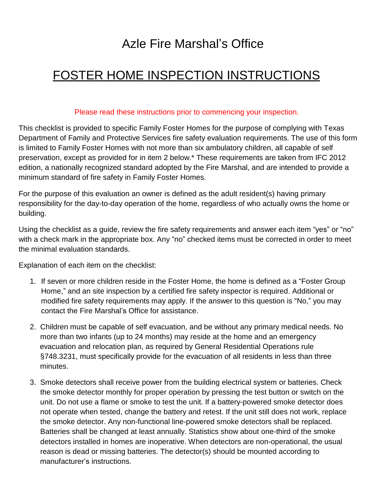# Azle Fire Marshal's Office

## FOSTER HOME INSPECTION INSTRUCTIONS

#### Please read these instructions prior to commencing your inspection.

This checklist is provided to specific Family Foster Homes for the purpose of complying with Texas Department of Family and Protective Services fire safety evaluation requirements. The use of this form is limited to Family Foster Homes with not more than six ambulatory children, all capable of self preservation, except as provided for in item 2 below.\* These requirements are taken from IFC 2012 edition, a nationally recognized standard adopted by the Fire Marshal, and are intended to provide a minimum standard of fire safety in Family Foster Homes.

For the purpose of this evaluation an owner is defined as the adult resident(s) having primary responsibility for the day-to-day operation of the home, regardless of who actually owns the home or building.

Using the checklist as a guide, review the fire safety requirements and answer each item "yes" or "no" with a check mark in the appropriate box. Any "no" checked items must be corrected in order to meet the minimal evaluation standards.

Explanation of each item on the checklist:

- 1. If seven or more children reside in the Foster Home, the home is defined as a "Foster Group Home," and an site inspection by a certified fire safety inspector is required. Additional or modified fire safety requirements may apply. If the answer to this question is "No," you may contact the Fire Marshal's Office for assistance.
- 2. Children must be capable of self evacuation, and be without any primary medical needs. No more than two infants (up to 24 months) may reside at the home and an emergency evacuation and relocation plan, as required by General Residential Operations rule §748.3231, must specifically provide for the evacuation of all residents in less than three minutes.
- 3. Smoke detectors shall receive power from the building electrical system or batteries. Check the smoke detector monthly for proper operation by pressing the test button or switch on the unit. Do not use a flame or smoke to test the unit. If a battery-powered smoke detector does not operate when tested, change the battery and retest. If the unit still does not work, replace the smoke detector. Any non-functional line-powered smoke detectors shall be replaced. Batteries shall be changed at least annually. Statistics show about one-third of the smoke detectors installed in homes are inoperative. When detectors are non-operational, the usual reason is dead or missing batteries. The detector(s) should be mounted according to manufacturer's instructions.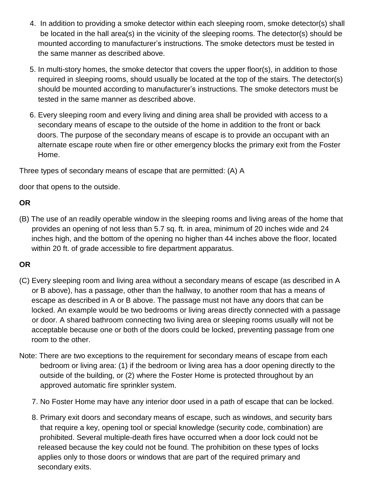- 4. In addition to providing a smoke detector within each sleeping room, smoke detector(s) shall be located in the hall area(s) in the vicinity of the sleeping rooms. The detector(s) should be mounted according to manufacturer's instructions. The smoke detectors must be tested in the same manner as described above.
- 5. In multi-story homes, the smoke detector that covers the upper floor(s), in addition to those required in sleeping rooms, should usually be located at the top of the stairs. The detector(s) should be mounted according to manufacturer's instructions. The smoke detectors must be tested in the same manner as described above.
- 6. Every sleeping room and every living and dining area shall be provided with access to a secondary means of escape to the outside of the home in addition to the front or back doors. The purpose of the secondary means of escape is to provide an occupant with an alternate escape route when fire or other emergency blocks the primary exit from the Foster Home.

Three types of secondary means of escape that are permitted: (A) A

door that opens to the outside.

### **OR**

(B) The use of an readily operable window in the sleeping rooms and living areas of the home that provides an opening of not less than 5.7 sq. ft. in area, minimum of 20 inches wide and 24 inches high, and the bottom of the opening no higher than 44 inches above the floor, located within 20 ft. of grade accessible to fire department apparatus.

#### **OR**

- (C) Every sleeping room and living area without a secondary means of escape (as described in A or B above), has a passage, other than the hallway, to another room that has a means of escape as described in A or B above. The passage must not have any doors that can be locked. An example would be two bedrooms or living areas directly connected with a passage or door. A shared bathroom connecting two living area or sleeping rooms usually will not be acceptable because one or both of the doors could be locked, preventing passage from one room to the other.
- Note: There are two exceptions to the requirement for secondary means of escape from each bedroom or living area: (1) if the bedroom or living area has a door opening directly to the outside of the building, or (2) where the Foster Home is protected throughout by an approved automatic fire sprinkler system.
	- 7. No Foster Home may have any interior door used in a path of escape that can be locked.
	- 8. Primary exit doors and secondary means of escape, such as windows, and security bars that require a key, opening tool or special knowledge (security code, combination) are prohibited. Several multiple-death fires have occurred when a door lock could not be released because the key could not be found. The prohibition on these types of locks applies only to those doors or windows that are part of the required primary and secondary exits.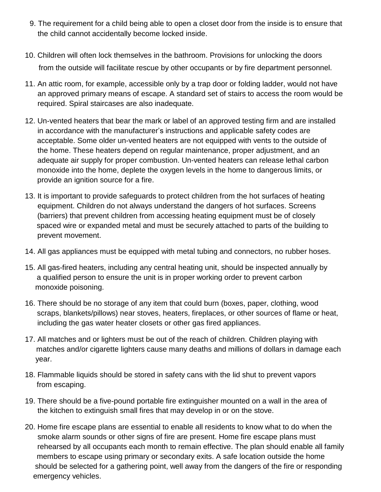- 9. The requirement for a child being able to open a closet door from the inside is to ensure that the child cannot accidentally become locked inside.
- 10. Children will often lock themselves in the bathroom. Provisions for unlocking the doors from the outside will facilitate rescue by other occupants or by fire department personnel.
- 11. An attic room, for example, accessible only by a trap door or folding ladder, would not have an approved primary means of escape. A standard set of stairs to access the room would be required. Spiral staircases are also inadequate.
- 12. Un-vented heaters that bear the mark or label of an approved testing firm and are installed in accordance with the manufacturer's instructions and applicable safety codes are acceptable. Some older un-vented heaters are not equipped with vents to the outside of the home. These heaters depend on regular maintenance, proper adjustment, and an adequate air supply for proper combustion. Un-vented heaters can release lethal carbon monoxide into the home, deplete the oxygen levels in the home to dangerous limits, or provide an ignition source for a fire.
- 13. It is important to provide safeguards to protect children from the hot surfaces of heating equipment. Children do not always understand the dangers of hot surfaces. Screens (barriers) that prevent children from accessing heating equipment must be of closely spaced wire or expanded metal and must be securely attached to parts of the building to prevent movement.
- 14. All gas appliances must be equipped with metal tubing and connectors, no rubber hoses.
- 15. All gas-fired heaters, including any central heating unit, should be inspected annually by a qualified person to ensure the unit is in proper working order to prevent carbon monoxide poisoning.
- 16. There should be no storage of any item that could burn (boxes, paper, clothing, wood scraps, blankets/pillows) near stoves, heaters, fireplaces, or other sources of flame or heat, including the gas water heater closets or other gas fired appliances.
- 17. All matches and or lighters must be out of the reach of children. Children playing with matches and/or cigarette lighters cause many deaths and millions of dollars in damage each year.
- 18. Flammable liquids should be stored in safety cans with the lid shut to prevent vapors from escaping.
- 19. There should be a five-pound portable fire extinguisher mounted on a wall in the area of the kitchen to extinguish small fires that may develop in or on the stove.
- 20. Home fire escape plans are essential to enable all residents to know what to do when the smoke alarm sounds or other signs of fire are present. Home fire escape plans must rehearsed by all occupants each month to remain effective. The plan should enable all family members to escape using primary or secondary exits. A safe location outside the home should be selected for a gathering point, well away from the dangers of the fire or responding emergency vehicles.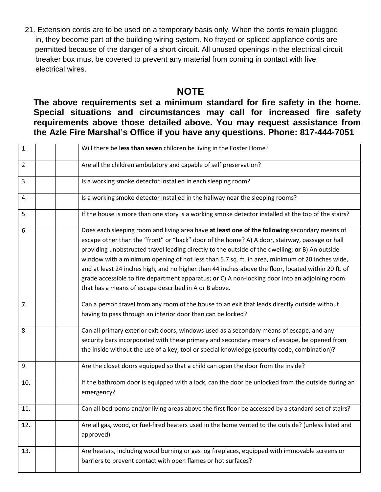21. Extension cords are to be used on a temporary basis only. When the cords remain plugged in, they become part of the building wiring system. No frayed or spliced appliance cords are permitted because of the danger of a short circuit. All unused openings in the electrical circuit breaker box must be covered to prevent any material from coming in contact with live electrical wires.

### **NOTE**

**The above requirements set a minimum standard for fire safety in the home. Special situations and circumstances may call for increased fire safety requirements above those detailed above. You may request assistance from the Azle Fire Marshal's Office if you have any questions. Phone: 817-444-7051**

| 1.             | Will there be less than seven children be living in the Foster Home?                                                                                                                                                                                                                                                                                                                                                                                                                                                                                                                                                                                                   |
|----------------|------------------------------------------------------------------------------------------------------------------------------------------------------------------------------------------------------------------------------------------------------------------------------------------------------------------------------------------------------------------------------------------------------------------------------------------------------------------------------------------------------------------------------------------------------------------------------------------------------------------------------------------------------------------------|
| $\overline{2}$ | Are all the children ambulatory and capable of self preservation?                                                                                                                                                                                                                                                                                                                                                                                                                                                                                                                                                                                                      |
| 3.             | Is a working smoke detector installed in each sleeping room?                                                                                                                                                                                                                                                                                                                                                                                                                                                                                                                                                                                                           |
| 4.             | Is a working smoke detector installed in the hallway near the sleeping rooms?                                                                                                                                                                                                                                                                                                                                                                                                                                                                                                                                                                                          |
| 5.             | If the house is more than one story is a working smoke detector installed at the top of the stairs?                                                                                                                                                                                                                                                                                                                                                                                                                                                                                                                                                                    |
| 6.             | Does each sleeping room and living area have at least one of the following secondary means of<br>escape other than the "front" or "back" door of the home? A) A door, stairway, passage or hall<br>providing unobstructed travel leading directly to the outside of the dwelling; or B) An outside<br>window with a minimum opening of not less than 5.7 sq. ft. in area, minimum of 20 inches wide,<br>and at least 24 inches high, and no higher than 44 inches above the floor, located within 20 ft. of<br>grade accessible to fire department apparatus; or C) A non-locking door into an adjoining room<br>that has a means of escape described in A or B above. |
| 7.             | Can a person travel from any room of the house to an exit that leads directly outside without<br>having to pass through an interior door than can be locked?                                                                                                                                                                                                                                                                                                                                                                                                                                                                                                           |
| 8.             | Can all primary exterior exit doors, windows used as a secondary means of escape, and any<br>security bars incorporated with these primary and secondary means of escape, be opened from<br>the inside without the use of a key, tool or special knowledge (security code, combination)?                                                                                                                                                                                                                                                                                                                                                                               |
| 9.             | Are the closet doors equipped so that a child can open the door from the inside?                                                                                                                                                                                                                                                                                                                                                                                                                                                                                                                                                                                       |
| 10.            | If the bathroom door is equipped with a lock, can the door be unlocked from the outside during an<br>emergency?                                                                                                                                                                                                                                                                                                                                                                                                                                                                                                                                                        |
| 11.            | Can all bedrooms and/or living areas above the first floor be accessed by a standard set of stairs?                                                                                                                                                                                                                                                                                                                                                                                                                                                                                                                                                                    |
| 12.            | Are all gas, wood, or fuel-fired heaters used in the home vented to the outside? (unless listed and<br>approved)                                                                                                                                                                                                                                                                                                                                                                                                                                                                                                                                                       |
| 13.            | Are heaters, including wood burning or gas log fireplaces, equipped with immovable screens or<br>barriers to prevent contact with open flames or hot surfaces?                                                                                                                                                                                                                                                                                                                                                                                                                                                                                                         |